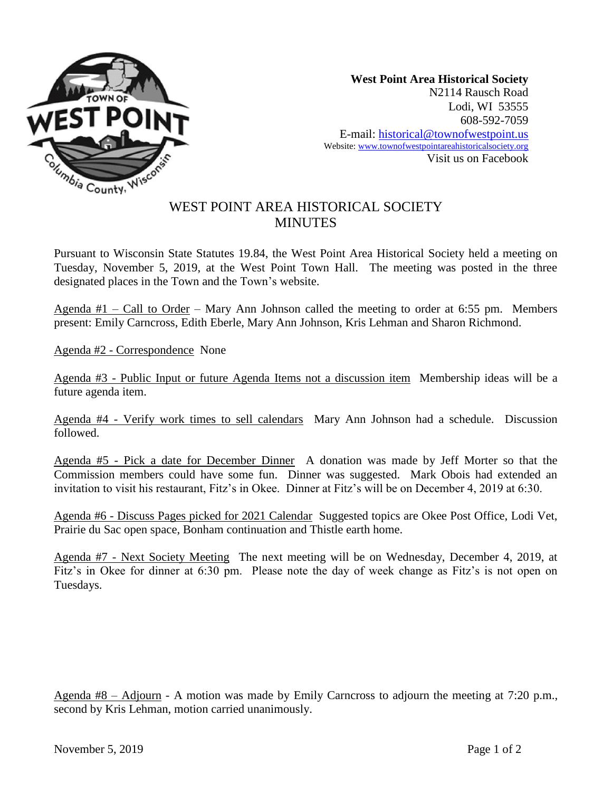

**West Point Area Historical Society** N2114 Rausch Road Lodi, WI 53555 608-592-7059 E-mail: historical@townofwestpoint.us Website: www.townofwestpointareahistoricalsociety.org Visit us on Facebook

## WEST POINT AREA HISTORICAL SOCIETY **MINUTES**

Pursuant to Wisconsin State Statutes 19.84, the West Point Area Historical Society held a meeting on Tuesday, November 5, 2019, at the West Point Town Hall. The meeting was posted in the three designated places in the Town and the Town's website.

Agenda #1 – Call to Order – Mary Ann Johnson called the meeting to order at 6:55 pm. Members present: Emily Carncross, Edith Eberle, Mary Ann Johnson, Kris Lehman and Sharon Richmond.

Agenda #2 - Correspondence None

Agenda #3 - Public Input or future Agenda Items not a discussion item Membership ideas will be a future agenda item.

Agenda #4 - Verify work times to sell calendars Mary Ann Johnson had a schedule. Discussion followed.

Agenda #5 - Pick a date for December Dinner A donation was made by Jeff Morter so that the Commission members could have some fun. Dinner was suggested. Mark Obois had extended an invitation to visit his restaurant, Fitz's in Okee. Dinner at Fitz's will be on December 4, 2019 at 6:30.

Agenda #6 - Discuss Pages picked for 2021 Calendar Suggested topics are Okee Post Office, Lodi Vet, Prairie du Sac open space, Bonham continuation and Thistle earth home.

Agenda #7 - Next Society Meeting The next meeting will be on Wednesday, December 4, 2019, at Fitz's in Okee for dinner at 6:30 pm. Please note the day of week change as Fitz's is not open on Tuesdays.

Agenda #8 – Adjourn - A motion was made by Emily Carncross to adjourn the meeting at 7:20 p.m., second by Kris Lehman, motion carried unanimously.